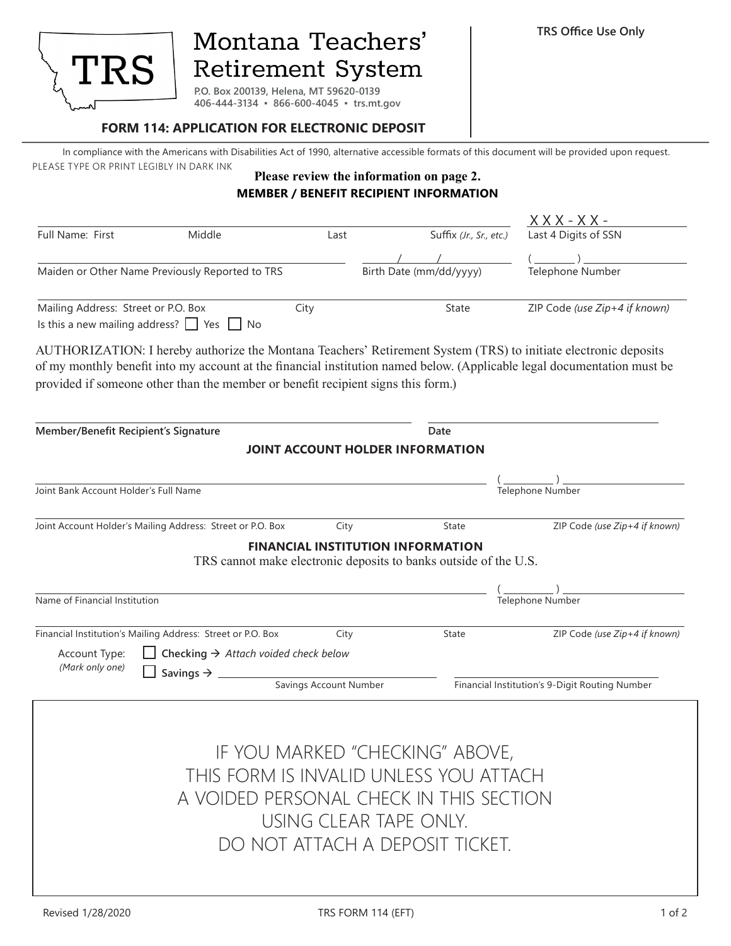

# Montana Teachers' Retirement System

**P.O. Box 200139, Helena, MT 59620-0139 406-444-3134 ▪ 866-600-4045 ▪ trs.mt.gov**

### **FORM 114: APPLICATION FOR ELECTRONIC DEPOSIT**

In compliance with the Americans with Disabilities Act of 1990, alternative accessible formats of this document will be provided upon request. PLEASE TYPE OR PRINT LEGIBLY IN DARK INK

## **Please review the information on page 2. MEMBER / BENEFIT RECIPIENT INFORMATION**

|                                                                                   |                                                                                  |                                          |  |                                                                  | <u> X X X - X X -</u>                                                                                                                                                                                                                      |  |
|-----------------------------------------------------------------------------------|----------------------------------------------------------------------------------|------------------------------------------|--|------------------------------------------------------------------|--------------------------------------------------------------------------------------------------------------------------------------------------------------------------------------------------------------------------------------------|--|
| Full Name: First                                                                  | Middle                                                                           | Last                                     |  | Suffix (Jr., Sr., etc.)                                          | Last 4 Digits of SSN                                                                                                                                                                                                                       |  |
|                                                                                   |                                                                                  |                                          |  |                                                                  |                                                                                                                                                                                                                                            |  |
| Maiden or Other Name Previously Reported to TRS                                   |                                                                                  |                                          |  | Birth Date (mm/dd/yyyy)                                          | Telephone Number                                                                                                                                                                                                                           |  |
| Mailing Address: Street or P.O. Box                                               | Is this a new mailing address? $\Box$ Yes $\Box$ No                              | City                                     |  | State                                                            | ZIP Code (use Zip+4 if known)                                                                                                                                                                                                              |  |
|                                                                                   | provided if someone other than the member or benefit recipient signs this form.) |                                          |  |                                                                  | AUTHORIZATION: I hereby authorize the Montana Teachers' Retirement System (TRS) to initiate electronic deposits<br>of my monthly benefit into my account at the financial institution named below. (Applicable legal documentation must be |  |
| Member/Benefit Recipient's Signature                                              |                                                                                  |                                          |  | Date                                                             |                                                                                                                                                                                                                                            |  |
|                                                                                   |                                                                                  | JOINT ACCOUNT HOLDER INFORMATION         |  |                                                                  |                                                                                                                                                                                                                                            |  |
| Joint Bank Account Holder's Full Name                                             |                                                                                  |                                          |  |                                                                  | Telephone Number                                                                                                                                                                                                                           |  |
|                                                                                   |                                                                                  |                                          |  |                                                                  |                                                                                                                                                                                                                                            |  |
|                                                                                   | Joint Account Holder's Mailing Address: Street or P.O. Box                       | City                                     |  | State                                                            | ZIP Code (use Zip+4 if known)                                                                                                                                                                                                              |  |
|                                                                                   |                                                                                  | <b>FINANCIAL INSTITUTION INFORMATION</b> |  | TRS cannot make electronic deposits to banks outside of the U.S. |                                                                                                                                                                                                                                            |  |
|                                                                                   |                                                                                  |                                          |  |                                                                  |                                                                                                                                                                                                                                            |  |
| Name of Financial Institution                                                     |                                                                                  |                                          |  | Telephone Number                                                 |                                                                                                                                                                                                                                            |  |
|                                                                                   | Financial Institution's Mailing Address: Street or P.O. Box                      | City                                     |  | State                                                            | ZIP Code (use Zip+4 if known)                                                                                                                                                                                                              |  |
| Account Type:                                                                     | Checking $\rightarrow$ Attach voided check below                                 |                                          |  |                                                                  |                                                                                                                                                                                                                                            |  |
| (Mark only one)                                                                   | Savings $\rightarrow$ _                                                          | Savings Account Number                   |  |                                                                  | Financial Institution's 9-Digit Routing Number                                                                                                                                                                                             |  |
|                                                                                   |                                                                                  |                                          |  |                                                                  |                                                                                                                                                                                                                                            |  |
|                                                                                   |                                                                                  |                                          |  | IF YOU MARKED "CHECKING" ABOVE,                                  |                                                                                                                                                                                                                                            |  |
|                                                                                   |                                                                                  |                                          |  |                                                                  |                                                                                                                                                                                                                                            |  |
| THIS FORM IS INVALID UNLESS YOU ATTACH<br>A VOIDED PERSONAL CHECK IN THIS SECTION |                                                                                  |                                          |  |                                                                  |                                                                                                                                                                                                                                            |  |
|                                                                                   |                                                                                  |                                          |  |                                                                  |                                                                                                                                                                                                                                            |  |
|                                                                                   |                                                                                  | USING CLEAR TAPE ONLY.                   |  |                                                                  |                                                                                                                                                                                                                                            |  |
|                                                                                   |                                                                                  |                                          |  | DO NOT ATTACH A DEPOSIT TICKET.                                  |                                                                                                                                                                                                                                            |  |
|                                                                                   |                                                                                  |                                          |  |                                                                  |                                                                                                                                                                                                                                            |  |
|                                                                                   |                                                                                  |                                          |  |                                                                  |                                                                                                                                                                                                                                            |  |